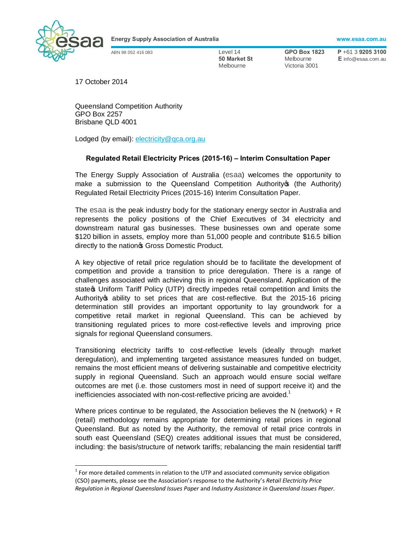

**Energy Supply Association of Australia www.esaa.com.au**

**50 Market St Melbourne E** info@esaa.com.au **Melbourne Wictoria** 3001 Victoria 3001

ABN 98 052 416 083 Level 14 **GPO Box 1823 P** +61 3 **9205 3100**

17 October 2014

Queensland Competition Authority GPO Box 2257 Brisbane QLD 4001

Lodged (by email): electricity@qca.org.au

## **Regulated Retail Electricity Prices (2015-16) – Interim Consultation Paper**

The Energy Supply Association of Australia (esaa) welcomes the opportunity to make a submission to the Queensland Competition Authority (the Authority) Regulated Retail Electricity Prices (2015-16) Interim Consultation Paper.

The esaa is the peak industry body for the stationary energy sector in Australia and represents the policy positions of the Chief Executives of 34 electricity and downstream natural gas businesses. These businesses own and operate some \$120 billion in assets, employ more than 51,000 people and contribute \$16.5 billion directly to the nation<sup>®</sup> Gross Domestic Product.

A key objective of retail price regulation should be to facilitate the development of competition and provide a transition to price deregulation. There is a range of challenges associated with achieving this in regional Queensland. Application of the state **w** Uniform Tariff Policy (UTP) directly impedes retail competition and limits the Authority's ability to set prices that are cost-reflective. But the 2015-16 pricing determination still provides an important opportunity to lay groundwork for a competitive retail market in regional Queensland. This can be achieved by transitioning regulated prices to more cost-reflective levels and improving price signals for regional Queensland consumers.

Transitioning electricity tariffs to cost-reflective levels (ideally through market deregulation), and implementing targeted assistance measures funded on budget, remains the most efficient means of delivering sustainable and competitive electricity supply in regional Queensland. Such an approach would ensure social welfare outcomes are met (i.e. those customers most in need of support receive it) and the inefficiencies associated with non-cost-reflective pricing are avoided. $1$ 

Where prices continue to be regulated, the Association believes the N (network) + R (retail) methodology remains appropriate for determining retail prices in regional Queensland. But as noted by the Authority, the removal of retail price controls in south east Queensland (SEQ) creates additional issues that must be considered, including: the basis/structure of network tariffs; rebalancing the main residential tariff

 $1$  For more detailed comments in relation to the UTP and associated community service obligation (CSO) payments, please see the Association's response to the Authority's *Retail Electricity Price Regulation in Regional Queensland Issues Paper* and *Industry Assistance in Queensland Issues Paper*.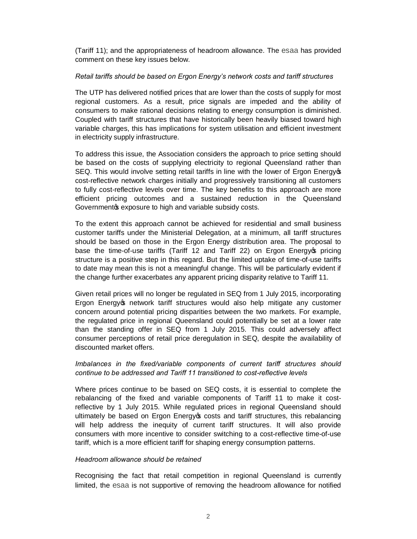(Tariff 11); and the appropriateness of headroom allowance. The esaa has provided comment on these key issues below.

## *Retail tariffs should be based on Ergon Energy's network costs and tariff structures*

The UTP has delivered notified prices that are lower than the costs of supply for most regional customers. As a result, price signals are impeded and the ability of consumers to make rational decisions relating to energy consumption is diminished. Coupled with tariff structures that have historically been heavily biased toward high variable charges, this has implications for system utilisation and efficient investment in electricity supply infrastructure.

To address this issue, the Association considers the approach to price setting should be based on the costs of supplying electricity to regional Queensland rather than SEQ. This would involve setting retail tariffs in line with the lower of Ergon Energy opcost-reflective network charges initially and progressively transitioning all customers to fully cost-reflective levels over time. The key benefits to this approach are more efficient pricing outcomes and a sustained reduction in the Queensland Governmentos exposure to high and variable subsidy costs.

To the extent this approach cannot be achieved for residential and small business customer tariffs under the Ministerial Delegation, at a minimum, all tariff structures should be based on those in the Ergon Energy distribution area. The proposal to base the time-of-use tariffs (Tariff 12 and Tariff 22) on Ergon Energy opricing structure is a positive step in this regard. But the limited uptake of time-of-use tariffs to date may mean this is not a meaningful change. This will be particularly evident if the change further exacerbates any apparent pricing disparity relative to Tariff 11.

Given retail prices will no longer be regulated in SEQ from 1 July 2015, incorporating Ergon Energy os network tariff structures would also help mitigate any customer concern around potential pricing disparities between the two markets. For example, the regulated price in regional Queensland could potentially be set at a lower rate than the standing offer in SEQ from 1 July 2015. This could adversely affect consumer perceptions of retail price deregulation in SEQ, despite the availability of discounted market offers.

## *Imbalances in the fixed/variable components of current tariff structures should continue to be addressed and Tariff 11 transitioned to cost-reflective levels*

Where prices continue to be based on SEQ costs, it is essential to complete the rebalancing of the fixed and variable components of Tariff 11 to make it costreflective by 1 July 2015. While regulated prices in regional Queensland should ultimately be based on Ergon Energy t costs and tariff structures, this rebalancing will help address the inequity of current tariff structures. It will also provide consumers with more incentive to consider switching to a cost-reflective time-of-use tariff, which is a more efficient tariff for shaping energy consumption patterns.

## *Headroom allowance should be retained*

Recognising the fact that retail competition in regional Queensland is currently limited, the esaa is not supportive of removing the headroom allowance for notified